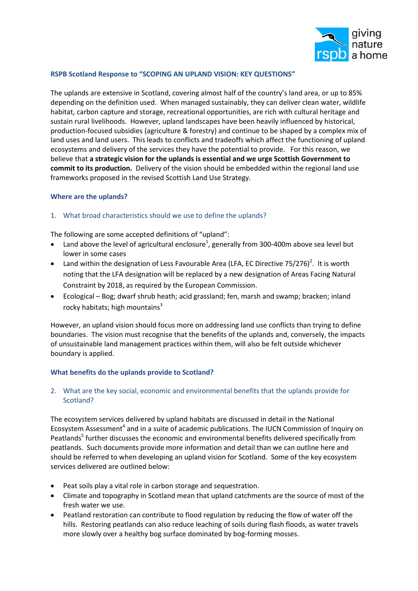

# **RSPB Scotland Response to "SCOPING AN UPLAND VISION: KEY QUESTIONS"**

The uplands are extensive in Scotland, covering almost half of the country's land area, or up to 85% depending on the definition used. When managed sustainably, they can deliver clean water, wildlife habitat, carbon capture and storage, recreational opportunities, are rich with cultural heritage and sustain rural livelihoods. However, upland landscapes have been heavily influenced by historical, production-focused subsidies (agriculture & forestry) and continue to be shaped by a complex mix of land uses and land users. This leads to conflicts and tradeoffs which affect the functioning of upland ecosystems and delivery of the services they have the potential to provide. For this reason, we believe that **a strategic vision for the uplands is essential and we urge Scottish Government to commit to its production.** Delivery of the vision should be embedded within the regional land use frameworks proposed in the revised Scottish Land Use Strategy.

## **Where are the uplands?**

## 1. What broad characteristics should we use to define the uplands?

The following are some accepted definitions of "upland":

- Land above the level of agricultural enclosure<sup>1</sup>, generally from 300-400m above sea level but lower in some cases
- Land within the designation of Less Favourable Area (LFA, EC Directive 75/276)<sup>2</sup>. It is worth noting that the LFA designation will be replaced by a new designation of Areas Facing Natural Constraint by 2018, as required by the European Commission.
- Ecological Bog; dwarf shrub heath; acid grassland; fen, marsh and swamp; bracken; inland rocky habitats; high mountains $3$

However, an upland vision should focus more on addressing land use conflicts than trying to define boundaries. The vision must recognise that the benefits of the uplands and, conversely, the impacts of unsustainable land management practices within them, will also be felt outside whichever boundary is applied.

## **What benefits do the uplands provide to Scotland?**

# 2. What are the key social, economic and environmental benefits that the uplands provide for Scotland?

The ecosystem services delivered by upland habitats are discussed in detail in the National Ecosystem Assessment<sup>4</sup> and in a suite of academic publications. The IUCN Commission of Inquiry on Peatlands<sup>5</sup> further discusses the economic and environmental benefits delivered specifically from peatlands. Such documents provide more information and detail than we can outline here and should be referred to when developing an upland vision for Scotland. Some of the key ecosystem services delivered are outlined below:

- Peat soils play a vital role in carbon storage and sequestration.
- Climate and topography in Scotland mean that upland catchments are the source of most of the fresh water we use.
- Peatland restoration can contribute to flood regulation by reducing the flow of water off the hills. Restoring peatlands can also reduce leaching of soils during flash floods, as water travels more slowly over a healthy bog surface dominated by bog-forming mosses.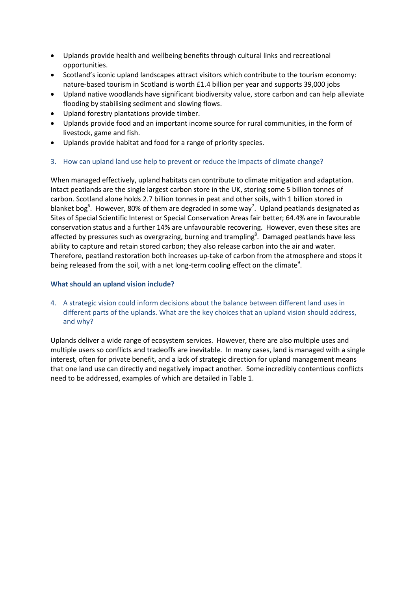- Uplands provide health and wellbeing benefits through cultural links and recreational opportunities.
- Scotland's iconic upland landscapes attract visitors which contribute to the tourism economy: nature-based tourism in Scotland is worth £1.4 billion per year and supports 39,000 jobs
- Upland native woodlands have significant biodiversity value, store carbon and can help alleviate flooding by stabilising sediment and slowing flows.
- Upland forestry plantations provide timber.
- Uplands provide food and an important income source for rural communities, in the form of livestock, game and fish.
- Uplands provide habitat and food for a range of priority species.
- 3. How can upland land use help to prevent or reduce the impacts of climate change?

When managed effectively, upland habitats can contribute to climate mitigation and adaptation. Intact peatlands are the single largest carbon store in the UK, storing some 5 billion tonnes of carbon. Scotland alone holds 2.7 billion tonnes in peat and other soils, with 1 billion stored in blanket bog<sup>6</sup>. However, 80% of them are degraded in some way<sup>7</sup>. Upland peatlands designated as Sites of Special Scientific Interest or Special Conservation Areas fair better; 64.4% are in favourable conservation status and a further 14% are unfavourable recovering. However, even these sites are affected by pressures such as overgrazing, burning and trampling<sup>8</sup>. Damaged peatlands have less ability to capture and retain stored carbon; they also release carbon into the air and water. Therefore, peatland restoration both increases up-take of carbon from the atmosphere and stops it being released from the soil, with a net long-term cooling effect on the climate<sup>9</sup>.

# **What should an upland vision include?**

4. A strategic vision could inform decisions about the balance between different land uses in different parts of the uplands. What are the key choices that an upland vision should address, and why?

Uplands deliver a wide range of ecosystem services. However, there are also multiple uses and multiple users so conflicts and tradeoffs are inevitable. In many cases, land is managed with a single interest, often for private benefit, and a lack of strategic direction for upland management means that one land use can directly and negatively impact another. Some incredibly contentious conflicts need to be addressed, examples of which are detailed in Table 1.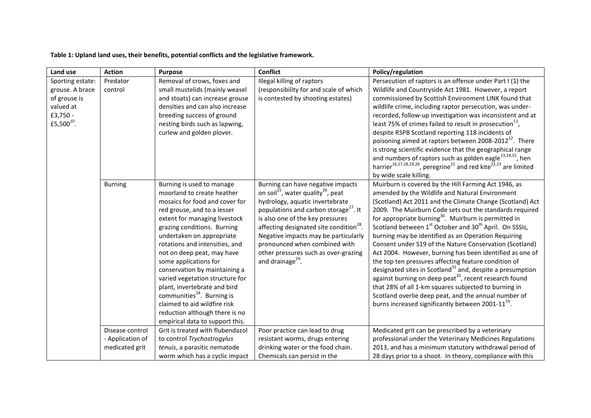# **Table 1: Upland land uses, their benefits, potential conflicts and the legislative framework.**

| Land use                                                                                               | <b>Action</b>                                         | <b>Purpose</b>                                                                                                                                                                                                                                                                                                                                                                                                                                                                                                                                                    | <b>Conflict</b>                                                                                                                                                                                                                                                                                                                                                                                                                     | Policy/regulation                                                                                                                                                                                                                                                                                                                                                                                                                                                                                                                                                                                                                                                                                                                                                                                                                                                                                                                                           |
|--------------------------------------------------------------------------------------------------------|-------------------------------------------------------|-------------------------------------------------------------------------------------------------------------------------------------------------------------------------------------------------------------------------------------------------------------------------------------------------------------------------------------------------------------------------------------------------------------------------------------------------------------------------------------------------------------------------------------------------------------------|-------------------------------------------------------------------------------------------------------------------------------------------------------------------------------------------------------------------------------------------------------------------------------------------------------------------------------------------------------------------------------------------------------------------------------------|-------------------------------------------------------------------------------------------------------------------------------------------------------------------------------------------------------------------------------------------------------------------------------------------------------------------------------------------------------------------------------------------------------------------------------------------------------------------------------------------------------------------------------------------------------------------------------------------------------------------------------------------------------------------------------------------------------------------------------------------------------------------------------------------------------------------------------------------------------------------------------------------------------------------------------------------------------------|
| Sporting estate:<br>grouse. A brace<br>of grouse is<br>valued at<br>£3,750 -<br>£5,500 <sup>10</sup> . | Predator<br>control                                   | Removal of crows, foxes and<br>small mustelids (mainly weasel<br>and stoats) can increase grouse<br>densities and can also increase<br>breeding success of ground<br>nesting birds such as lapwing,<br>curlew and golden plover.                                                                                                                                                                                                                                                                                                                                  | Illegal killing of raptors<br>(responsibility for and scale of which<br>is contested by shooting estates)                                                                                                                                                                                                                                                                                                                           | Persecution of raptors is an offence under Part I (1) the<br>Wildlife and Countryside Act 1981. However, a report<br>commissioned by Scottish Environment LINK found that<br>wildlife crime, including raptor persecution, was under-<br>recorded, follow-up investigation was inconsistent and at<br>least 75% of crimes failed to result in prosecution <sup>11</sup> ,<br>despite RSPB Scotland reporting 118 incidents of<br>poisoning aimed at raptors between 2008-2012 <sup>12</sup> . There<br>is strong scientific evidence that the geographical range<br>and numbers of raptors such as golden eagle $^{13,14,15}$ , hen<br>harrier <sup>16,17,18,19,20</sup> , peregrine <sup>21</sup> and red kite <sup>22,23</sup> are limited<br>by wide scale killing.                                                                                                                                                                                      |
|                                                                                                        | <b>Burning</b>                                        | Burning is used to manage<br>moorland to create heather<br>mosaics for food and cover for<br>red grouse, and to a lesser<br>extent for managing livestock<br>grazing conditions. Burning<br>undertaken on appropriate<br>rotations and intensities, and<br>not on deep peat, may have<br>some applications for<br>conservation by maintaining a<br>varied vegetation structure for<br>plant, invertebrate and bird<br>communities <sup>24</sup> . Burning is<br>claimed to aid wildfire risk<br>reduction although there is no<br>empirical data to support this. | Burning can have negative impacts<br>on soil <sup>25</sup> , water quality <sup>26</sup> , peat<br>hydrology, aquatic invertebrate<br>populations and carbon storage <sup>27</sup> . It<br>is also one of the key pressures<br>affecting designated site condition <sup>28</sup> .<br>Negative impacts may be particularly<br>pronounced when combined with<br>other pressures such as over-grazing<br>and drainage <sup>29</sup> . | Muirburn is covered by the Hill Farming Act 1946, as<br>amended by the Wildlife and Natural Environment<br>(Scotland) Act 2011 and the Climate Change (Scotland) Act<br>2009. The Muirburn Code sets out the standards required<br>for appropriate burning <sup>30</sup> . Muirburn is permitted in<br>Scotland between 1 <sup>st</sup> October and 30 <sup>th</sup> April. On SSSIs,<br>burning may be identified as an Operation Requiring<br>Consent under S19 of the Nature Conservation (Scotland)<br>Act 2004. However, burning has been identified as one of<br>the top ten pressures affecting feature condition of<br>designated sites in Scotland <sup>31</sup> and, despite a presumption<br>against burning on deep peat <sup>32</sup> , recent research found<br>that 28% of all 1-km squares subjected to burning in<br>Scotland overlie deep peat, and the annual number of<br>burns increased significantly between 2001-11 <sup>33</sup> . |
|                                                                                                        | Disease control<br>- Application of<br>medicated grit | Grit is treated with flubendazol<br>to control Trychostrogylus<br>tenuis, a parasitic nematode                                                                                                                                                                                                                                                                                                                                                                                                                                                                    | Poor practice can lead to drug<br>resistant worms, drugs entering<br>drinking water or the food chain.                                                                                                                                                                                                                                                                                                                              | Medicated grit can be prescribed by a veterinary<br>professional under the Veterinary Medicines Regulations<br>2013, and has a minimum statutory withdrawal period of                                                                                                                                                                                                                                                                                                                                                                                                                                                                                                                                                                                                                                                                                                                                                                                       |
|                                                                                                        |                                                       | worm which has a cyclic impact                                                                                                                                                                                                                                                                                                                                                                                                                                                                                                                                    | Chemicals can persist in the                                                                                                                                                                                                                                                                                                                                                                                                        | 28 days prior to a shoot. In theory, compliance with this                                                                                                                                                                                                                                                                                                                                                                                                                                                                                                                                                                                                                                                                                                                                                                                                                                                                                                   |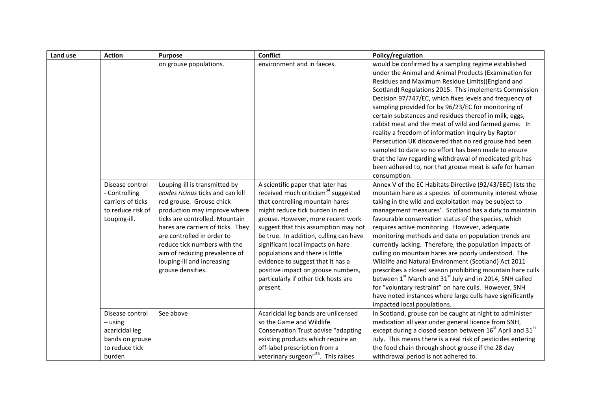| Land use | <b>Action</b>                                                                                 | <b>Purpose</b>                                                                                                                                                                                                                                                                                                                                          | <b>Conflict</b>                                                                                                                                                                                                                                                                                                                                                                                                                                                                          | Policy/regulation                                                                                                                                                                                                                                                                                                                                                                                                                                                                                                                                                                                                                                                                                                                                                                                                                                                                         |
|----------|-----------------------------------------------------------------------------------------------|---------------------------------------------------------------------------------------------------------------------------------------------------------------------------------------------------------------------------------------------------------------------------------------------------------------------------------------------------------|------------------------------------------------------------------------------------------------------------------------------------------------------------------------------------------------------------------------------------------------------------------------------------------------------------------------------------------------------------------------------------------------------------------------------------------------------------------------------------------|-------------------------------------------------------------------------------------------------------------------------------------------------------------------------------------------------------------------------------------------------------------------------------------------------------------------------------------------------------------------------------------------------------------------------------------------------------------------------------------------------------------------------------------------------------------------------------------------------------------------------------------------------------------------------------------------------------------------------------------------------------------------------------------------------------------------------------------------------------------------------------------------|
|          |                                                                                               | on grouse populations.                                                                                                                                                                                                                                                                                                                                  | environment and in faeces.                                                                                                                                                                                                                                                                                                                                                                                                                                                               | would be confirmed by a sampling regime established<br>under the Animal and Animal Products (Examination for<br>Residues and Maximum Residue Limits)(England and<br>Scotland) Regulations 2015. This implements Commission<br>Decision 97/747/EC, which fixes levels and frequency of<br>sampling provided for by 96/23/EC for monitoring of<br>certain substances and residues thereof in milk, eggs,<br>rabbit meat and the meat of wild and farmed game. In<br>reality a freedom of information inquiry by Raptor<br>Persecution UK discovered that no red grouse had been<br>sampled to date so no effort has been made to ensure<br>that the law regarding withdrawal of medicated grit has<br>been adhered to, nor that grouse meat is safe for human<br>consumption.                                                                                                               |
|          | Disease control<br>- Controlling<br>carriers of ticks<br>to reduce risk of<br>Louping-ill.    | Louping-ill is transmitted by<br>Ixodes ricinus ticks and can kill<br>red grouse. Grouse chick<br>production may improve where<br>ticks are controlled. Mountain<br>hares are carriers of ticks. They<br>are controlled in order to<br>reduce tick numbers with the<br>aim of reducing prevalence of<br>louping-ill and increasing<br>grouse densities. | A scientific paper that later has<br>received much criticism <sup>34</sup> suggested<br>that controlling mountain hares<br>might reduce tick burden in red<br>grouse. However, more recent work<br>suggest that this assumption may not<br>be true. In addition, culling can have<br>significant local impacts on hare<br>populations and there is little<br>evidence to suggest that it has a<br>positive impact on grouse numbers,<br>particularly if other tick hosts are<br>present. | Annex V of the EC Habitats Directive (92/43/EEC) lists the<br>mountain hare as a species 'of community interest whose<br>taking in the wild and exploitation may be subject to<br>management measures'. Scotland has a duty to maintain<br>favourable conservation status of the species, which<br>requires active monitoring. However, adequate<br>monitoring methods and data on population trends are<br>currently lacking. Therefore, the population impacts of<br>culling on mountain hares are poorly understood. The<br>Wildlife and Natural Environment (Scotland) Act 2011<br>prescribes a closed season prohibiting mountain hare culls<br>between 1 <sup>st</sup> March and 31 <sup>st</sup> July and in 2014, SNH called<br>for "voluntary restraint" on hare culls. However, SNH<br>have noted instances where large culls have significantly<br>impacted local populations. |
|          | Disease control<br>$-$ using<br>acaricidal leg<br>bands on grouse<br>to reduce tick<br>burden | See above                                                                                                                                                                                                                                                                                                                                               | Acaricidal leg bands are unlicensed<br>so the Game and Wildlife<br>Conservation Trust advise "adapting<br>existing products which require an<br>off-label prescription from a<br>veterinary surgeon" <sup>35</sup> . This raises                                                                                                                                                                                                                                                         | In Scotland, grouse can be caught at night to administer<br>medication all year under general licence from SNH,<br>except during a closed season between 16 <sup>st</sup> April and 31 <sup>st</sup><br>July. This means there is a real risk of pesticides entering<br>the food chain through shoot grouse if the 28 day<br>withdrawal period is not adhered to.                                                                                                                                                                                                                                                                                                                                                                                                                                                                                                                         |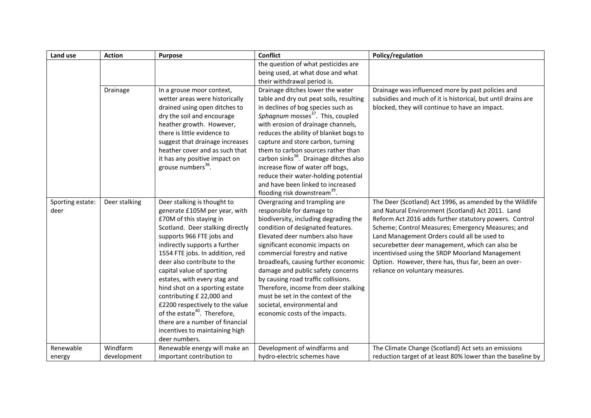| the question of what pesticides are<br>being used, at what dose and what<br>their withdrawal period is.<br>Drainage was influenced more by past policies and<br>Drainage<br>Drainage ditches lower the water<br>In a grouse moor context,<br>wetter areas were historically<br>table and dry out peat soils, resulting<br>subsidies and much of it is historical, but until drains are<br>drained using open ditches to<br>in declines of bog species such as<br>blocked, they will continue to have an impact.<br>Sphagnum mosses <sup>37</sup> . This, coupled<br>dry the soil and encourage<br>with erosion of drainage channels,<br>heather growth. However,<br>there is little evidence to<br>reduces the ability of blanket bogs to<br>suggest that drainage increases<br>capture and store carbon, turning<br>heather cover and as such that<br>them to carbon sources rather than<br>carbon sinks <sup>38</sup> . Drainage ditches also<br>it has any positive impact on<br>grouse numbers <sup>36</sup> .<br>increase flow of water off bogs,<br>reduce their water-holding potential<br>and have been linked to increased<br>flooding risk downstream <sup>39</sup> .<br>Deer stalking is thought to<br>Overgrazing and trampling are<br>The Deer (Scotland) Act 1996, as amended by the Wildlife<br>Deer stalking<br>Sporting estate:<br>generate £105M per year, with<br>responsible for damage to<br>and Natural Environment (Scotland) Act 2011. Land<br>deer<br>£70M of this staying in<br>biodiversity, including degrading the<br>Reform Act 2016 adds further statutory powers. Control<br>Scotland. Deer stalking directly<br>Scheme; Control Measures; Emergency Measures; and<br>condition of designated features.<br>supports 966 FTE jobs and<br>Elevated deer numbers also have<br>Land Management Orders could all be used to<br>indirectly supports a further<br>securebetter deer management, which can also be<br>significant economic impacts on<br>1554 FTE jobs. In addition, red<br>commercial forestry and native<br>incentivised using the SRDP Moorland Management<br>deer also contribute to the<br>broadleafs, causing further economic<br>Option. However, there has, thus far, been an over-<br>capital value of sporting<br>damage and public safety concerns<br>reliance on voluntary measures.<br>by causing road traffic collisions.<br>estates, with every stag and<br>hind shot on a sporting estate<br>Therefore, income from deer stalking<br>contributing £ 22,000 and<br>must be set in the context of the<br>£2200 respectively to the value<br>societal, environmental and<br>of the estate <sup>40</sup> . Therefore,<br>economic costs of the impacts.<br>there are a number of financial<br>incentives to maintaining high<br>deer numbers. | Land use  | <b>Action</b> | <b>Purpose</b>                | <b>Conflict</b>              | Policy/regulation                                   |
|---------------------------------------------------------------------------------------------------------------------------------------------------------------------------------------------------------------------------------------------------------------------------------------------------------------------------------------------------------------------------------------------------------------------------------------------------------------------------------------------------------------------------------------------------------------------------------------------------------------------------------------------------------------------------------------------------------------------------------------------------------------------------------------------------------------------------------------------------------------------------------------------------------------------------------------------------------------------------------------------------------------------------------------------------------------------------------------------------------------------------------------------------------------------------------------------------------------------------------------------------------------------------------------------------------------------------------------------------------------------------------------------------------------------------------------------------------------------------------------------------------------------------------------------------------------------------------------------------------------------------------------------------------------------------------------------------------------------------------------------------------------------------------------------------------------------------------------------------------------------------------------------------------------------------------------------------------------------------------------------------------------------------------------------------------------------------------------------------------------------------------------------------------------------------------------------------------------------------------------------------------------------------------------------------------------------------------------------------------------------------------------------------------------------------------------------------------------------------------------------------------------------------------------------------------------------------------------------------------------------------------------------------------------------------------------------------------------------------------------------------------------------------------------------------|-----------|---------------|-------------------------------|------------------------------|-----------------------------------------------------|
|                                                                                                                                                                                                                                                                                                                                                                                                                                                                                                                                                                                                                                                                                                                                                                                                                                                                                                                                                                                                                                                                                                                                                                                                                                                                                                                                                                                                                                                                                                                                                                                                                                                                                                                                                                                                                                                                                                                                                                                                                                                                                                                                                                                                                                                                                                                                                                                                                                                                                                                                                                                                                                                                                                                                                                                                   |           |               |                               |                              |                                                     |
|                                                                                                                                                                                                                                                                                                                                                                                                                                                                                                                                                                                                                                                                                                                                                                                                                                                                                                                                                                                                                                                                                                                                                                                                                                                                                                                                                                                                                                                                                                                                                                                                                                                                                                                                                                                                                                                                                                                                                                                                                                                                                                                                                                                                                                                                                                                                                                                                                                                                                                                                                                                                                                                                                                                                                                                                   |           |               |                               |                              |                                                     |
|                                                                                                                                                                                                                                                                                                                                                                                                                                                                                                                                                                                                                                                                                                                                                                                                                                                                                                                                                                                                                                                                                                                                                                                                                                                                                                                                                                                                                                                                                                                                                                                                                                                                                                                                                                                                                                                                                                                                                                                                                                                                                                                                                                                                                                                                                                                                                                                                                                                                                                                                                                                                                                                                                                                                                                                                   |           |               |                               |                              |                                                     |
|                                                                                                                                                                                                                                                                                                                                                                                                                                                                                                                                                                                                                                                                                                                                                                                                                                                                                                                                                                                                                                                                                                                                                                                                                                                                                                                                                                                                                                                                                                                                                                                                                                                                                                                                                                                                                                                                                                                                                                                                                                                                                                                                                                                                                                                                                                                                                                                                                                                                                                                                                                                                                                                                                                                                                                                                   |           |               |                               |                              |                                                     |
|                                                                                                                                                                                                                                                                                                                                                                                                                                                                                                                                                                                                                                                                                                                                                                                                                                                                                                                                                                                                                                                                                                                                                                                                                                                                                                                                                                                                                                                                                                                                                                                                                                                                                                                                                                                                                                                                                                                                                                                                                                                                                                                                                                                                                                                                                                                                                                                                                                                                                                                                                                                                                                                                                                                                                                                                   |           |               |                               |                              |                                                     |
|                                                                                                                                                                                                                                                                                                                                                                                                                                                                                                                                                                                                                                                                                                                                                                                                                                                                                                                                                                                                                                                                                                                                                                                                                                                                                                                                                                                                                                                                                                                                                                                                                                                                                                                                                                                                                                                                                                                                                                                                                                                                                                                                                                                                                                                                                                                                                                                                                                                                                                                                                                                                                                                                                                                                                                                                   |           |               |                               |                              |                                                     |
|                                                                                                                                                                                                                                                                                                                                                                                                                                                                                                                                                                                                                                                                                                                                                                                                                                                                                                                                                                                                                                                                                                                                                                                                                                                                                                                                                                                                                                                                                                                                                                                                                                                                                                                                                                                                                                                                                                                                                                                                                                                                                                                                                                                                                                                                                                                                                                                                                                                                                                                                                                                                                                                                                                                                                                                                   |           |               |                               |                              |                                                     |
| important contribution to<br>hydro-electric schemes have<br>reduction target of at least 80% lower than the baseline by<br>development<br>energy                                                                                                                                                                                                                                                                                                                                                                                                                                                                                                                                                                                                                                                                                                                                                                                                                                                                                                                                                                                                                                                                                                                                                                                                                                                                                                                                                                                                                                                                                                                                                                                                                                                                                                                                                                                                                                                                                                                                                                                                                                                                                                                                                                                                                                                                                                                                                                                                                                                                                                                                                                                                                                                  | Renewable | Windfarm      | Renewable energy will make an | Development of windfarms and | The Climate Change (Scotland) Act sets an emissions |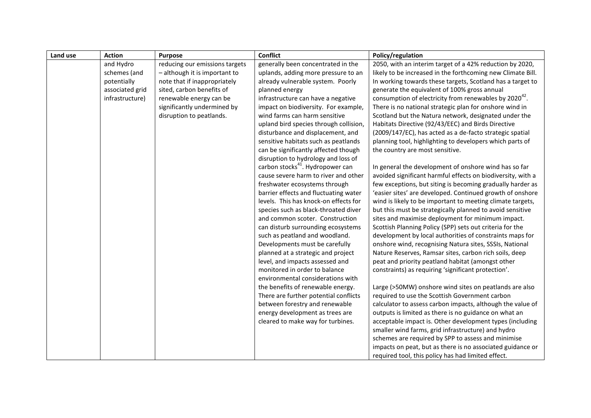| Land use | <b>Action</b>   | <b>Purpose</b>                 | <b>Conflict</b>                              | Policy/regulation                                                  |
|----------|-----------------|--------------------------------|----------------------------------------------|--------------------------------------------------------------------|
|          | and Hydro       | reducing our emissions targets | generally been concentrated in the           | 2050, with an interim target of a 42% reduction by 2020,           |
|          | schemes (and    | - although it is important to  | uplands, adding more pressure to an          | likely to be increased in the forthcoming new Climate Bill.        |
|          | potentially     | note that if inappropriately   | already vulnerable system. Poorly            | In working towards these targets, Scotland has a target to         |
|          | associated grid | sited, carbon benefits of      | planned energy                               | generate the equivalent of 100% gross annual                       |
|          | infrastructure) | renewable energy can be        | infrastructure can have a negative           | consumption of electricity from renewables by 2020 <sup>42</sup> . |
|          |                 | significantly undermined by    | impact on biodiversity. For example,         | There is no national strategic plan for onshore wind in            |
|          |                 | disruption to peatlands.       | wind farms can harm sensitive                | Scotland but the Natura network, designated under the              |
|          |                 |                                | upland bird species through collision,       | Habitats Directive (92/43/EEC) and Birds Directive                 |
|          |                 |                                | disturbance and displacement, and            | (2009/147/EC), has acted as a de-facto strategic spatial           |
|          |                 |                                | sensitive habitats such as peatlands         | planning tool, highlighting to developers which parts of           |
|          |                 |                                | can be significantly affected though         | the country are most sensitive.                                    |
|          |                 |                                | disruption to hydrology and loss of          |                                                                    |
|          |                 |                                | carbon stocks <sup>41</sup> . Hydropower can | In general the development of onshore wind has so far              |
|          |                 |                                | cause severe harm to river and other         | avoided significant harmful effects on biodiversity, with a        |
|          |                 |                                | freshwater ecosystems through                | few exceptions, but siting is becoming gradually harder as         |
|          |                 |                                | barrier effects and fluctuating water        | 'easier sites' are developed. Continued growth of onshore          |
|          |                 |                                | levels. This has knock-on effects for        | wind is likely to be important to meeting climate targets,         |
|          |                 |                                | species such as black-throated diver         | but this must be strategically planned to avoid sensitive          |
|          |                 |                                | and common scoter. Construction              | sites and maximise deployment for minimum impact.                  |
|          |                 |                                | can disturb surrounding ecosystems           | Scottish Planning Policy (SPP) sets out criteria for the           |
|          |                 |                                | such as peatland and woodland.               | development by local authorities of constraints maps for           |
|          |                 |                                | Developments must be carefully               | onshore wind, recognising Natura sites, SSSIs, National            |
|          |                 |                                | planned at a strategic and project           | Nature Reserves, Ramsar sites, carbon rich soils, deep             |
|          |                 |                                | level, and impacts assessed and              | peat and priority peatland habitat (amongst other                  |
|          |                 |                                | monitored in order to balance                | constraints) as requiring 'significant protection'.                |
|          |                 |                                | environmental considerations with            |                                                                    |
|          |                 |                                | the benefits of renewable energy.            | Large (>50MW) onshore wind sites on peatlands are also             |
|          |                 |                                | There are further potential conflicts        | required to use the Scottish Government carbon                     |
|          |                 |                                | between forestry and renewable               | calculator to assess carbon impacts, although the value of         |
|          |                 |                                | energy development as trees are              | outputs is limited as there is no guidance on what an              |
|          |                 |                                | cleared to make way for turbines.            | acceptable impact is. Other development types (including           |
|          |                 |                                |                                              | smaller wind farms, grid infrastructure) and hydro                 |
|          |                 |                                |                                              | schemes are required by SPP to assess and minimise                 |
|          |                 |                                |                                              | impacts on peat, but as there is no associated guidance or         |
|          |                 |                                |                                              | required tool, this policy has had limited effect.                 |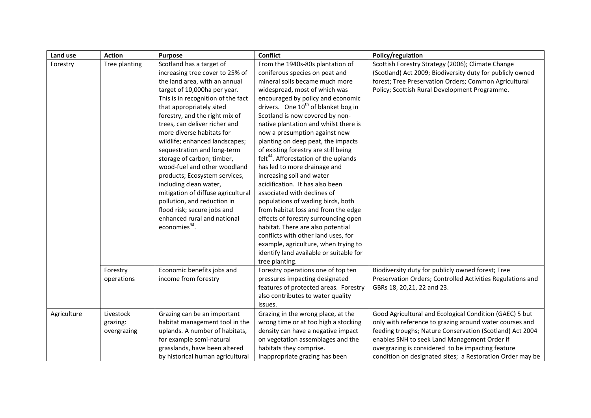| Land use    | <b>Action</b>                        | <b>Purpose</b>                                                                                                                                                                                                                                                                                                                                                                                                                                                                                                                                                                                                                                           | <b>Conflict</b>                                                                                                                                                                                                                                                                                                                                                                                                                                                                                                                                                                                                                                                                                                                                                                                                                                                                                 | Policy/regulation                                                                                                                                                                                                                                                                                                                                |
|-------------|--------------------------------------|----------------------------------------------------------------------------------------------------------------------------------------------------------------------------------------------------------------------------------------------------------------------------------------------------------------------------------------------------------------------------------------------------------------------------------------------------------------------------------------------------------------------------------------------------------------------------------------------------------------------------------------------------------|-------------------------------------------------------------------------------------------------------------------------------------------------------------------------------------------------------------------------------------------------------------------------------------------------------------------------------------------------------------------------------------------------------------------------------------------------------------------------------------------------------------------------------------------------------------------------------------------------------------------------------------------------------------------------------------------------------------------------------------------------------------------------------------------------------------------------------------------------------------------------------------------------|--------------------------------------------------------------------------------------------------------------------------------------------------------------------------------------------------------------------------------------------------------------------------------------------------------------------------------------------------|
| Forestry    | Tree planting                        | Scotland has a target of<br>increasing tree cover to 25% of<br>the land area, with an annual<br>target of 10,000ha per year.<br>This is in recognition of the fact<br>that appropriately sited<br>forestry, and the right mix of<br>trees, can deliver richer and<br>more diverse habitats for<br>wildlife; enhanced landscapes;<br>sequestration and long-term<br>storage of carbon; timber,<br>wood-fuel and other woodland<br>products; Ecosystem services,<br>including clean water,<br>mitigation of diffuse agricultural<br>pollution, and reduction in<br>flood risk; secure jobs and<br>enhanced rural and national<br>economies <sup>43</sup> . | From the 1940s-80s plantation of<br>coniferous species on peat and<br>mineral soils became much more<br>widespread, most of which was<br>encouraged by policy and economic<br>drivers. One 10 <sup>th</sup> of blanket bog in<br>Scotland is now covered by non-<br>native plantation and whilst there is<br>now a presumption against new<br>planting on deep peat, the impacts<br>of existing forestry are still being<br>felt <sup>44</sup> . Afforestation of the uplands<br>has led to more drainage and<br>increasing soil and water<br>acidification. It has also been<br>associated with declines of<br>populations of wading birds, both<br>from habitat loss and from the edge<br>effects of forestry surrounding open<br>habitat. There are also potential<br>conflicts with other land uses, for<br>example, agriculture, when trying to<br>identify land available or suitable for | Scottish Forestry Strategy (2006); Climate Change<br>(Scotland) Act 2009; Biodiversity duty for publicly owned<br>forest; Tree Preservation Orders; Common Agricultural<br>Policy; Scottish Rural Development Programme.                                                                                                                         |
|             | Forestry<br>operations               | Economic benefits jobs and<br>income from forestry                                                                                                                                                                                                                                                                                                                                                                                                                                                                                                                                                                                                       | tree planting.<br>Forestry operations one of top ten<br>pressures impacting designated<br>features of protected areas. Forestry<br>also contributes to water quality<br>issues.                                                                                                                                                                                                                                                                                                                                                                                                                                                                                                                                                                                                                                                                                                                 | Biodiversity duty for publicly owned forest; Tree<br>Preservation Orders; Controlled Activities Regulations and<br>GBRs 18, 20, 21, 22 and 23.                                                                                                                                                                                                   |
| Agriculture | Livestock<br>grazing:<br>overgrazing | Grazing can be an important<br>habitat management tool in the<br>uplands. A number of habitats,<br>for example semi-natural<br>grasslands, have been altered<br>by historical human agricultural                                                                                                                                                                                                                                                                                                                                                                                                                                                         | Grazing in the wrong place, at the<br>wrong time or at too high a stocking<br>density can have a negative impact<br>on vegetation assemblages and the<br>habitats they comprise.<br>Inappropriate grazing has been                                                                                                                                                                                                                                                                                                                                                                                                                                                                                                                                                                                                                                                                              | Good Agricultural and Ecological Condition (GAEC) 5 but<br>only with reference to grazing around water courses and<br>feeding troughs; Nature Conservation (Scotland) Act 2004<br>enables SNH to seek Land Management Order if<br>overgrazing is considered to be impacting feature<br>condition on designated sites; a Restoration Order may be |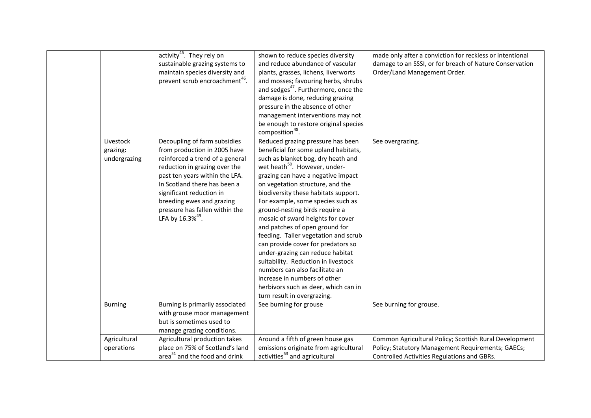| activity <sup>45</sup> . They rely on<br>made only after a conviction for reckless or intentional<br>shown to reduce species diversity       |  |
|----------------------------------------------------------------------------------------------------------------------------------------------|--|
| and reduce abundance of vascular<br>damage to an SSSI, or for breach of Nature Conservation<br>sustainable grazing systems to                |  |
| maintain species diversity and<br>plants, grasses, lichens, liverworts<br>Order/Land Management Order.                                       |  |
| prevent scrub encroachment <sup>46</sup> .<br>and mosses; favouring herbs, shrubs                                                            |  |
| and sedges <sup>47</sup> . Furthermore, once the                                                                                             |  |
| damage is done, reducing grazing                                                                                                             |  |
| pressure in the absence of other                                                                                                             |  |
| management interventions may not                                                                                                             |  |
| be enough to restore original species                                                                                                        |  |
| composition <sup>48</sup> .                                                                                                                  |  |
| Decoupling of farm subsidies<br>Reduced grazing pressure has been<br>Livestock<br>See overgrazing.                                           |  |
| from production in 2005 have<br>beneficial for some upland habitats,<br>grazing:                                                             |  |
| reinforced a trend of a general<br>such as blanket bog, dry heath and<br>undergrazing                                                        |  |
| wet heath <sup>50</sup> . However, under-<br>reduction in grazing over the                                                                   |  |
| grazing can have a negative impact<br>past ten years within the LFA.                                                                         |  |
| In Scotland there has been a<br>on vegetation structure, and the                                                                             |  |
| significant reduction in<br>biodiversity these habitats support.                                                                             |  |
| breeding ewes and grazing<br>For example, some species such as                                                                               |  |
| pressure has fallen within the<br>ground-nesting birds require a                                                                             |  |
| LFA by 16.3% <sup>49</sup> .<br>mosaic of sward heights for cover                                                                            |  |
| and patches of open ground for                                                                                                               |  |
| feeding. Taller vegetation and scrub                                                                                                         |  |
| can provide cover for predators so                                                                                                           |  |
| under-grazing can reduce habitat                                                                                                             |  |
| suitability. Reduction in livestock                                                                                                          |  |
| numbers can also facilitate an                                                                                                               |  |
| increase in numbers of other                                                                                                                 |  |
| herbivors such as deer, which can in                                                                                                         |  |
| turn result in overgrazing.                                                                                                                  |  |
| <b>Burning</b><br>Burning is primarily associated<br>See burning for grouse<br>See burning for grouse.                                       |  |
| with grouse moor management                                                                                                                  |  |
| but is sometimes used to                                                                                                                     |  |
| manage grazing conditions.                                                                                                                   |  |
| Agricultural production takes<br>Around a fifth of green house gas<br>Common Agricultural Policy; Scottish Rural Development<br>Agricultural |  |
| place on 75% of Scotland's land<br>emissions originate from agricultural<br>Policy; Statutory Management Requirements; GAECs;<br>operations  |  |
| activities <sup>53</sup> and agricultural<br>area <sup>51</sup> and the food and drink<br>Controlled Activities Regulations and GBRs.        |  |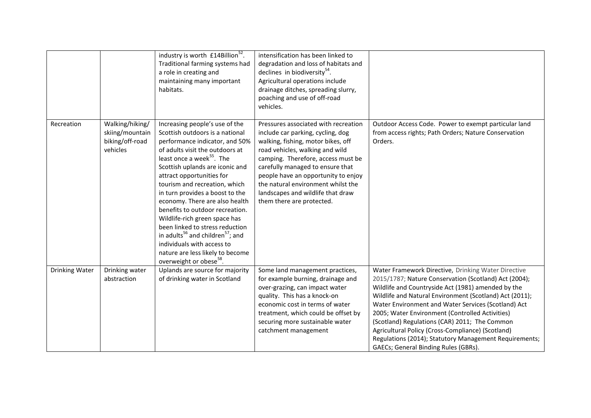|                |                                                                   | industry is worth £14Billion <sup>52</sup> .<br>Traditional farming systems had<br>a role in creating and<br>maintaining many important<br>habitats.                                                                                                                                                                                                                                                                                                                                                                                                                                                                              | intensification has been linked to<br>degradation and loss of habitats and<br>declines in biodiversity <sup>54</sup> .<br>Agricultural operations include<br>drainage ditches, spreading slurry,<br>poaching and use of off-road<br>vehicles.                                                                                                                               |                                                                                                                                                                                                                                                                                                                                                                                                                                                                                                                                                 |
|----------------|-------------------------------------------------------------------|-----------------------------------------------------------------------------------------------------------------------------------------------------------------------------------------------------------------------------------------------------------------------------------------------------------------------------------------------------------------------------------------------------------------------------------------------------------------------------------------------------------------------------------------------------------------------------------------------------------------------------------|-----------------------------------------------------------------------------------------------------------------------------------------------------------------------------------------------------------------------------------------------------------------------------------------------------------------------------------------------------------------------------|-------------------------------------------------------------------------------------------------------------------------------------------------------------------------------------------------------------------------------------------------------------------------------------------------------------------------------------------------------------------------------------------------------------------------------------------------------------------------------------------------------------------------------------------------|
| Recreation     | Walking/hiking/<br>skiing/mountain<br>biking/off-road<br>vehicles | Increasing people's use of the<br>Scottish outdoors is a national<br>performance indicator, and 50%<br>of adults visit the outdoors at<br>least once a week <sup>55</sup> . The<br>Scottish uplands are iconic and<br>attract opportunities for<br>tourism and recreation, which<br>in turn provides a boost to the<br>economy. There are also health<br>benefits to outdoor recreation.<br>Wildlife-rich green space has<br>been linked to stress reduction<br>in adults <sup>56</sup> and children <sup>57</sup> ; and<br>individuals with access to<br>nature are less likely to become<br>overweight or obese <sup>58</sup> . | Pressures associated with recreation<br>include car parking, cycling, dog<br>walking, fishing, motor bikes, off<br>road vehicles, walking and wild<br>camping. Therefore, access must be<br>carefully managed to ensure that<br>people have an opportunity to enjoy<br>the natural environment whilst the<br>landscapes and wildlife that draw<br>them there are protected. | Outdoor Access Code. Power to exempt particular land<br>from access rights; Path Orders; Nature Conservation<br>Orders.                                                                                                                                                                                                                                                                                                                                                                                                                         |
| Drinking Water | Drinking water<br>abstraction                                     | Uplands are source for majority<br>of drinking water in Scotland                                                                                                                                                                                                                                                                                                                                                                                                                                                                                                                                                                  | Some land management practices,<br>for example burning, drainage and<br>over-grazing, can impact water<br>quality. This has a knock-on<br>economic cost in terms of water<br>treatment, which could be offset by<br>securing more sustainable water<br>catchment management                                                                                                 | Water Framework Directive, Drinking Water Directive<br>2015/1787; Nature Conservation (Scotland) Act (2004);<br>Wildlife and Countryside Act (1981) amended by the<br>Wildlife and Natural Environment (Scotland) Act (2011);<br>Water Environment and Water Services (Scotland) Act<br>2005; Water Environment (Controlled Activities)<br>(Scotland) Regulations (CAR) 2011; The Common<br>Agricultural Policy (Cross-Compliance) (Scotland)<br>Regulations (2014); Statutory Management Requirements;<br>GAECs; General Binding Rules (GBRs). |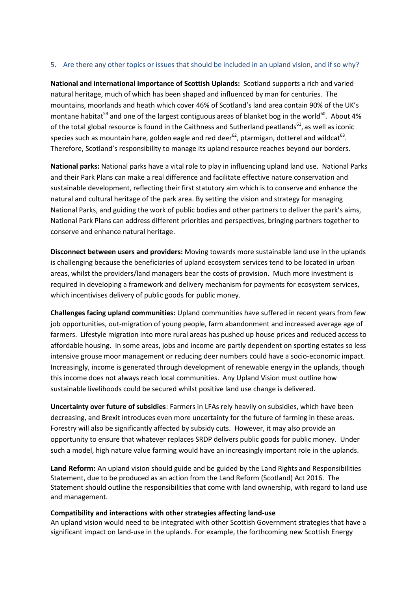# 5. Are there any other topics or issues that should be included in an upland vision, and if so why?

**National and international importance of Scottish Uplands:** Scotland supports a rich and varied natural heritage, much of which has been shaped and influenced by man for centuries. The mountains, moorlands and heath which cover 46% of Scotland's land area contain 90% of the UK's montane habitat<sup>59</sup> and one of the largest contiguous areas of blanket bog in the world<sup>60</sup>. About 4% of the total global resource is found in the Caithness and Sutherland peatlands<sup>61</sup>, as well as iconic species such as mountain hare, golden eagle and red deer<sup>62</sup>, ptarmigan, dotterel and wildcat<sup>63</sup>. Therefore, Scotland's responsibility to manage its upland resource reaches beyond our borders.

**National parks:** National parks have a vital role to play in influencing upland land use. National Parks and their Park Plans can make a real difference and facilitate effective nature conservation and sustainable development, reflecting their first statutory aim which is to conserve and enhance the natural and cultural heritage of the park area. By setting the vision and strategy for managing National Parks, and guiding the work of public bodies and other partners to deliver the park's aims, National Park Plans can address different priorities and perspectives, bringing partners together to conserve and enhance natural heritage.

**Disconnect between users and providers:** Moving towards more sustainable land use in the uplands is challenging because the beneficiaries of upland ecosystem services tend to be located in urban areas, whilst the providers/land managers bear the costs of provision. Much more investment is required in developing a framework and delivery mechanism for payments for ecosystem services, which incentivises delivery of public goods for public money.

**Challenges facing upland communities:** Upland communities have suffered in recent years from few job opportunities, out-migration of young people, farm abandonment and increased average age of farmers. Lifestyle migration into more rural areas has pushed up house prices and reduced access to affordable housing. In some areas, jobs and income are partly dependent on sporting estates so less intensive grouse moor management or reducing deer numbers could have a socio-economic impact. Increasingly, income is generated through development of renewable energy in the uplands, though this income does not always reach local communities. Any Upland Vision must outline how sustainable livelihoods could be secured whilst positive land use change is delivered.

**Uncertainty over future of subsidies**: Farmers in LFAs rely heavily on subsidies, which have been decreasing, and Brexit introduces even more uncertainty for the future of farming in these areas. Forestry will also be significantly affected by subsidy cuts. However, it may also provide an opportunity to ensure that whatever replaces SRDP delivers public goods for public money. Under such a model, high nature value farming would have an increasingly important role in the uplands.

**Land Reform:** An upland vision should guide and be guided by the Land Rights and Responsibilities Statement, due to be produced as an action from the Land Reform (Scotland) Act 2016. The Statement should outline the responsibilities that come with land ownership, with regard to land use and management.

## **Compatibility and interactions with other strategies affecting land-use**

An upland vision would need to be integrated with other Scottish Government strategies that have a significant impact on land-use in the uplands. For example, the forthcoming new Scottish Energy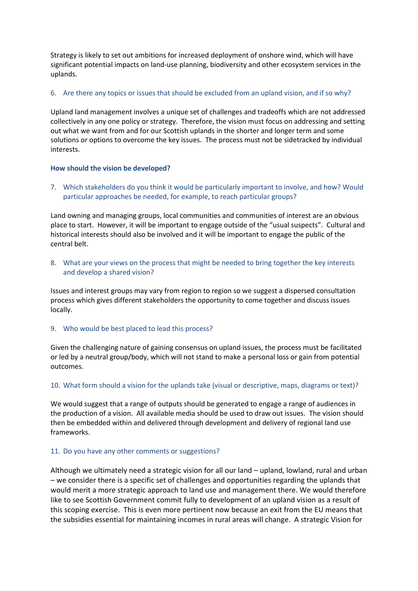Strategy is likely to set out ambitions for increased deployment of onshore wind, which will have significant potential impacts on land-use planning, biodiversity and other ecosystem services in the uplands.

# 6. Are there any topics or issues that should be excluded from an upland vision, and if so why?

Upland land management involves a unique set of challenges and tradeoffs which are not addressed collectively in any one policy or strategy. Therefore, the vision must focus on addressing and setting out what we want from and for our Scottish uplands in the shorter and longer term and some solutions or options to overcome the key issues. The process must not be sidetracked by individual interests.

## **How should the vision be developed?**

7. Which stakeholders do you think it would be particularly important to involve, and how? Would particular approaches be needed, for example, to reach particular groups?

Land owning and managing groups, local communities and communities of interest are an obvious place to start. However, it will be important to engage outside of the "usual suspects". Cultural and historical interests should also be involved and it will be important to engage the public of the central belt.

8. What are your views on the process that might be needed to bring together the key interests and develop a shared vision?

Issues and interest groups may vary from region to region so we suggest a dispersed consultation process which gives different stakeholders the opportunity to come together and discuss issues locally.

9. Who would be best placed to lead this process?

Given the challenging nature of gaining consensus on upland issues, the process must be facilitated or led by a neutral group/body, which will not stand to make a personal loss or gain from potential outcomes.

# 10. What form should a vision for the uplands take (visual or descriptive, maps, diagrams or text)?

We would suggest that a range of outputs should be generated to engage a range of audiences in the production of a vision. All available media should be used to draw out issues. The vision should then be embedded within and delivered through development and delivery of regional land use frameworks.

## 11. Do you have any other comments or suggestions?

Although we ultimately need a strategic vision for all our land – upland, lowland, rural and urban – we consider there is a specific set of challenges and opportunities regarding the uplands that would merit a more strategic approach to land use and management there. We would therefore like to see Scottish Government commit fully to development of an upland vision as a result of this scoping exercise. This is even more pertinent now because an exit from the EU means that the subsidies essential for maintaining incomes in rural areas will change. A strategic Vision for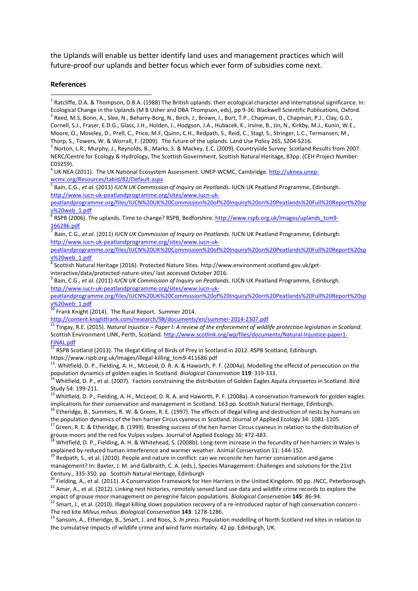the Uplands will enable us better identify land uses and management practices which will future-proof our uplands and better focus which ever form of subsidies come next.

#### **References**

**.** 

<sup>1</sup> Ratcliffe, D.A. & Thompson, D.B.A. (1988) The British uplands: their ecological character and international significance. In: Ecological Change in the Uplands (M B Usher and DBA Thompson, eds), pp 9-36. Blackwell Scientific Publications, Oxford.  $^2$  Reed, M.S, Bonn, A., Slee, N., Beharry-Borg, N., Birch, J., Brown, I., Burt, T.P., Chapman, D., Chapman, P.J., Clay, G.D.,

Cornell, S.J., Fraser, E.D.G., Glass, J.H., Holden, J., Hodgson, J.A., Hubacek, K., Irvine, B., Jin, N., Kirkby, M.J., Kunin, W.E., Moore, O., Moseley, D., Prell, C., Price, M.F, Quinn, C.H., Redpath, S., Reid, C., Stagl, S., Stringer, L.C., Termansen, M., Thorp, S., Towers, W. & Worrall, F. (2009). The future of the uplands. Land Use Policy 26S, S204-S216.

<sup>3</sup> Norton, L.R., Murphy, J., Reynolds, B., Marks, S. & Mackey, E.C. (2009). Countryside Survey: Scotland Results from 2007. NERC/Centre for Ecology & Hydrology, The Scottish Government, Scottish Natural Heritage, 83pp. (CEH Project Number: C03259).

<sup>4</sup> UK NEA (2011). The UK National Ecosystem Assessment. UNEP-WCMC, Cambridge[. http://uknea.unep](http://uknea.unep-wcmc.org/Resources/tabid/82/Default.aspx)[wcmc.org/Resources/tabid/82/Default.aspx](http://uknea.unep-wcmc.org/Resources/tabid/82/Default.aspx)

5 Bain, C.G., *et al.* (2011) *IUCN UK Commission of Inquiry on Peatlands.* IUCN UK Peatland Programme, Edinburgh. [http://www.iucn-uk-peatlandprogramme.org/sites/www.iucn-uk-](http://www.iucn-uk-peatlandprogramme.org/sites/www.iucn-uk-peatlandprogramme.org/files/IUCN%20UK%20Commission%20of%20Inquiry%20on%20Peatlands%20Full%20Report%20spv%20web_1.pdf)

[peatlandprogramme.org/files/IUCN%20UK%20Commission%20of%20Inquiry%20on%20Peatlands%20Full%20Report%20sp](http://www.iucn-uk-peatlandprogramme.org/sites/www.iucn-uk-peatlandprogramme.org/files/IUCN%20UK%20Commission%20of%20Inquiry%20on%20Peatlands%20Full%20Report%20spv%20web_1.pdf)

<u>[v%20web\\_1.pdf](http://www.iucn-uk-peatlandprogramme.org/sites/www.iucn-uk-peatlandprogramme.org/files/IUCN%20UK%20Commission%20of%20Inquiry%20on%20Peatlands%20Full%20Report%20spv%20web_1.pdf)</u><br><sup>6</sup> RSPB (2006). The uplands. Time to change? RSPB, Bedforshire. <u>http://www.rspb.org.uk/Images/uplands\_tcm9-</u>  $\frac{166286. \text{pdf}}{7 \cdot \text{height}}$ 

Bain, C.G., *et al.* (2011) *IUCN UK Commission of Inquiry on Peatlands.* IUCN UK Peatland Programme, Edinburgh. [http://www.iucn-uk-peatlandprogramme.org/sites/www.iucn-uk-](http://www.iucn-uk-peatlandprogramme.org/sites/www.iucn-uk-peatlandprogramme.org/files/IUCN%20UK%20Commission%20of%20Inquiry%20on%20Peatlands%20Full%20Report%20spv%20web_1.pdf)

[peatlandprogramme.org/files/IUCN%20UK%20Commission%20of%20Inquiry%20on%20Peatlands%20Full%20Report%20sp](http://www.iucn-uk-peatlandprogramme.org/sites/www.iucn-uk-peatlandprogramme.org/files/IUCN%20UK%20Commission%20of%20Inquiry%20on%20Peatlands%20Full%20Report%20spv%20web_1.pdf) [v%20web\\_1.pdf](http://www.iucn-uk-peatlandprogramme.org/sites/www.iucn-uk-peatlandprogramme.org/files/IUCN%20UK%20Commission%20of%20Inquiry%20on%20Peatlands%20Full%20Report%20spv%20web_1.pdf)

8 Scottish Natural Heritage (2016). Protected Nature Sites. http://www.environment.scotland.gov.uk/getinteractive/data/protected-nature-sites/ last accessed October 2016.

9 Bain, C.G., *et al.* (2011) *IUCN UK Commission of Inquiry on Peatlands.* IUCN UK Peatland Programme, Edinburgh. [http://www.iucn-uk-peatlandprogramme.org/sites/www.iucn-uk-](http://www.iucn-uk-peatlandprogramme.org/sites/www.iucn-uk-peatlandprogramme.org/files/IUCN%20UK%20Commission%20of%20Inquiry%20on%20Peatlands%20Full%20Report%20spv%20web_1.pdf)

[peatlandprogramme.org/files/IUCN%20UK%20Commission%20of%20Inquiry%20on%20Peatlands%20Full%20Report%20sp](http://www.iucn-uk-peatlandprogramme.org/sites/www.iucn-uk-peatlandprogramme.org/files/IUCN%20UK%20Commission%20of%20Inquiry%20on%20Peatlands%20Full%20Report%20spv%20web_1.pdf) [v%20web\\_1.pdf](http://www.iucn-uk-peatlandprogramme.org/sites/www.iucn-uk-peatlandprogramme.org/files/IUCN%20UK%20Commission%20of%20Inquiry%20on%20Peatlands%20Full%20Report%20spv%20web_1.pdf)

10 Frank Knight (2014). The Rural Report. Summer 2014.

<http://content.knightfrank.com/research/98/documents/en/summer-2014-2307.pdf>

<sup>11</sup> Tingay, R.E. (2015). *Natural Injustice – Paper I: A review of the enforcement of wildlife protection legislation in Scotland*. Scottish Environment LINK, Perth, Scotland[. http://www.scotlink.org/wp/files/documents/Natural-Injustice-paper1-](http://www.scotlink.org/wp/files/documents/Natural-Injustice-paper1-FINAL.pdf) [FINAL.pdf](http://www.scotlink.org/wp/files/documents/Natural-Injustice-paper1-FINAL.pdf)

 $^{12}$  RSPB Scotland (2013). The Illegal Killing of Birds of Prey in Scotland in 2012. RSPB Scotland, Edinburgh.

[https://www.rspb.org.uk/Images/illegal-killing\\_tcm9-411686.pdf](https://www.rspb.org.uk/Images/illegal-killing_tcm9-411686.pdf)

<sup>13</sup>. Whitfield, D. P., Fielding, A. H., McLeod, D. R. A. & Haworth, P. F. (2004a). Modelling the effectd of persecution on the population dynamics of golden eagles in Scotland. *Biological Conservation* **119**: 319-333.

<sup>14</sup> Whitfield, D. P., et al. (2007). Factors constraining the distribution of Golden Eagles Aquila chrysaetos in Scotland. Bird Study 54: 199-211.

15Whitfield, D. P., Fielding, A. H., McLeod, D. R. A. and Haworth, P. F. (2008a). A conservation framework for golden eagles: implications for their conservation and management in Scotland. 163 pp. Scottish Natural Heritage, Edinburgh.

<sup>16</sup> Etheridge, B., Summers, R. W. & Green, R. E. (1997). The effects of illegal killing and destruction of nests by humans on the population dynamics of the hen harrier Circus cyaneus in Scotland. Journal of Applied Ecology 34: 1081-1105.

<sup>17</sup> Green, R. E. & Etheridge, B. (1999). Breeding success of the hen harrier Circus cyaneus in relation to the distribution of grouse moors and the red fox Vulpes vulpes. Journal of Applied Ecology 36: 472-483.

 $18$  Whitfield, D. P., Fielding, A. H. & Whitehead, S. (2008b). Long-term increase in the fecundity of hen harriers in Wales is explained by reduced human interference and warmer weather. Animal Conservation 11: 144-152.

 $19$  Redpath, S., et al. (2010). People and nature in conflict: can we reconcile hen harrier conservation and game management? In: Baxter, J. M. and Galbraith, C. A. (eds.), Species Management: Challenges and solutions for the 21st Century., 335-350. pp. Scottsih Natural Heritage, Edinburgh

<sup>20</sup> Fielding, A., et al. (2011). A Conservation Framework for Hen Harriers in the United Kingdom. 90 pp. JNCC, Peterborough. 21 Amar, A., et al. (2012). Linking nest histories, remotely sensed land use data and wildlife crime records to explore the

impact of grouse moor management on peregrine falcon populations. *Biological Conservation* **145**: 86-94.

22 Smart, J., et al. (2010). Illegal killing slows population recovery of a re-introduced raptor of high conservation concern -The red kite *Milvus milvus*. *Biological Conservation* **143**: 1278-1286.

<sup>23</sup> Sansom, A., Etheridge, B., Smart, J. and Roos, S. *In press*. Population modelling of North Scotland red kites in relation to the cumulative impacts of wildlife crime and wind farm mortality. 42 pp. Edinburgh, UK.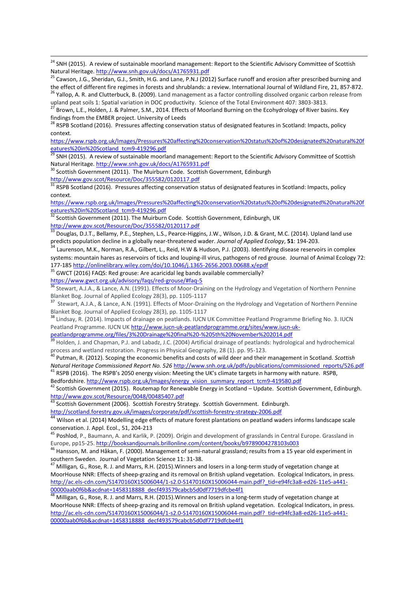<sup>27</sup> Brown, L.E., Holden, J. & Palmer, S.M., 2014. Effects of Moorland Burning on the Ecohydrology of River basins. Key findings from the EMBER project. University of Leeds

<sup>28</sup> RSPB Scotland (2016). Pressures affecting conservation status of designated features in Scotland: Impacts, policy context.

[https://www.rspb.org.uk/Images/Pressures%20affecting%20conservation%20status%20of%20designated%20natural%20f](https://www.rspb.org.uk/Images/Pressures%20affecting%20conservation%20status%20of%20designated%20natural%20features%20in%20Scotland_tcm9-419296.pdf) [eatures%20in%20Scotland\\_tcm9-419296.pdf](https://www.rspb.org.uk/Images/Pressures%20affecting%20conservation%20status%20of%20designated%20natural%20features%20in%20Scotland_tcm9-419296.pdf)

<sup>29</sup> SNH (2015). A review of sustainable moorland management: Report to the Scientific Advisory Committee of Scottish Natural Heritage.<http://www.snh.gov.uk/docs/A1765931.pdf>

<sup>30</sup> Scottish Government (2011). The Muirburn Code. Scottish Government, Edinburgh <http://www.gov.scot/Resource/Doc/355582/0120117.pdf>

1

31 RSPB Scotland (2016). Pressures affecting conservation status of designated features in Scotland: Impacts, policy context.

[https://www.rspb.org.uk/Images/Pressures%20affecting%20conservation%20status%20of%20designated%20natural%20f](https://www.rspb.org.uk/Images/Pressures%20affecting%20conservation%20status%20of%20designated%20natural%20features%20in%20Scotland_tcm9-419296.pdf) [eatures%20in%20Scotland\\_tcm9-419296.pdf](https://www.rspb.org.uk/Images/Pressures%20affecting%20conservation%20status%20of%20designated%20natural%20features%20in%20Scotland_tcm9-419296.pdf)

 $32$  Scottish Government (2011). The Muirburn Code. Scottish Government, Edinburgh, UK <http://www.gov.scot/Resource/Doc/355582/0120117.pdf>

<sup>33</sup> Douglas, D.J.T., Bellamy, P.E., Stephen, L.S., Pearce-Higgins, J.W., Wilson, J.D. & Grant, M.C. (2014). Upland land use predicts population decline in a globally near-threatened wader. *Journal of Applied Ecology*, **51**: 194-203.

<sup>34</sup> Laurenson, M.K., Norman, R.A., Gilbert, L., Reid, H.W & Hudson, P.J. (2003). Identifying disease reservoirs in complex systems: mountain hares as reservoirs of ticks and louping-ill virus, pathogens of red grouse. Journal of Animal Ecology 72: 177-18[5 http://onlinelibrary.wiley.com/doi/10.1046/j.1365-2656.2003.00688.x/epdf](http://onlinelibrary.wiley.com/doi/10.1046/j.1365-2656.2003.00688.x/epdf)

<sup>35</sup> GWCT (2016) FAQS: Red grouse: Are acaricidal leg bands available commercially? <https://www.gwct.org.uk/advisory/faqs/red-grouse/#faq-5>

<sup>36</sup> Stewart, A.J.A., & Lance, A.N. (1991). Effects of Moor-Draining on the Hydrology and Vegetation of Northern Pennine

Blanket Bog. Journal of Applied Ecology 28(3), pp. 1105-1117<br><sup>37</sup> Stewart, A.J.A., & Lance, A.N. (1991). Effects of Moor-Draining on the Hydrology and Vegetation of Northern Pennine Blanket Bog. Journal of Applied Ecology 28(3), pp. 1105-1117

38 Lindsay, R. (2014). Impacts of drainage on peatlands. IUCN UK Committee Peatland Programme Briefing No. 3. IUCN Peatland Programme. IUCN UK [http://www.iucn-uk-peatlandprogramme.org/sites/www.iucn-uk-](http://www.iucn-uk-peatlandprogramme.org/sites/www.iucn-uk-peatlandprogramme.org/files/3%20Drainage%20final%20-%205th%20November%202014.pdf)

[peatlandprogramme.org/files/3%20Drainage%20final%20-%205th%20November%202014.pdf](http://www.iucn-uk-peatlandprogramme.org/sites/www.iucn-uk-peatlandprogramme.org/files/3%20Drainage%20final%20-%205th%20November%202014.pdf)

<sup>39</sup> Holden, J. and Chapman, P.J. and Labadz, J.C. (2004) Artificial drainage of peatlands: hydrological and hydrochemical process and wetland restoration. Progress in Physical Geography, 28 (1). pp. 95-123.

<sup>40</sup> Putman, R. (2012). Scoping the economic benefits and costs of wild deer and their management in Scotland. *Scottish Natural Heritage Commissioned Report No. 526* [http://www.snh.org.uk/pdfs/publications/commissioned\\_reports/526.pdf](http://www.snh.org.uk/pdfs/publications/commissioned_reports/526.pdf) <sup>41</sup> RSPB (2016). The RSPB's 2050 energy vision: Meeting the UK's climate targets in harmony with nature. RSPB,

Bedfordshire[. http://www.rspb.org.uk/Images/energy\\_vision\\_summary\\_report\\_tcm9-419580.pdf](http://www.rspb.org.uk/Images/energy_vision_summary_report_tcm9-419580.pdf)

 $42$  Scottish Government (2015). Routemap for Renewable Energy in Scotland – Update. Scottish Government, Edinburgh. <http://www.gov.scot/Resource/0048/00485407.pdf>

43 Scottish Government (2006). Scottish Forestry Strategy. Scottish Government. Edinburgh.

<http://scotland.forestry.gov.uk/images/corporate/pdf/scottish-forestry-strategy-2006.pdf>

<sup>44</sup> Wilson et al. (2014) Modelling edge effects of mature forest plantations on peatland waders informs landscape scale conservation. J. Appl. Ecol., 51, 204-213

45 Poshlod, P., Baumann, A. and Karlik, P. (2009). Origin and development of grasslands in Central Europe. Grassland in Europe, pp15-25[. http://booksandjournals.brillonline.com/content/books/b9789004278103s003](http://booksandjournals.brillonline.com/content/books/b9789004278103s003)

<sup>46</sup> Hansson, M. and Håkan, F. (2000). Management of semi-natural grassland; results from a 15 year old experiment in southern Sweden. Journal of Vegetation Science 11: 31-38.

<sup>47</sup> Milligan*,* G., Rose, R. J. and Marrs, R.H. (2015).Winners and losers in a long-term study of vegetation change at MoorHouse NNR: Effects of sheep-grazing and its removal on British upland vegetation. Ecological Indicators, in press. [http://ac.els-cdn.com/S1470160X15006044/1-s2.0-S1470160X15006044-main.pdf?\\_tid=e94fc3a8-ed26-11e5-a441-](http://ac.els-cdn.com/S1470160X15006044/1-s2.0-S1470160X15006044-main.pdf?_tid=e94fc3a8-ed26-11e5-a441-00000aab0f6b&acdnat=1458318888_decf493579cabcb5d0df7719dfcbe4f1) [00000aab0f6b&acdnat=1458318888\\_decf493579cabcb5d0df7719dfcbe4f1](http://ac.els-cdn.com/S1470160X15006044/1-s2.0-S1470160X15006044-main.pdf?_tid=e94fc3a8-ed26-11e5-a441-00000aab0f6b&acdnat=1458318888_decf493579cabcb5d0df7719dfcbe4f1)

<sup>48</sup> Milligan*,* G., Rose, R. J. and Marrs, R.H. (2015).Winners and losers in a long-term study of vegetation change at MoorHouse NNR: Effects of sheep-grazing and its removal on British upland vegetation. Ecological Indicators, in press. [http://ac.els-cdn.com/S1470160X15006044/1-s2.0-S1470160X15006044-main.pdf?\\_tid=e94fc3a8-ed26-11e5-a441-](http://ac.els-cdn.com/S1470160X15006044/1-s2.0-S1470160X15006044-main.pdf?_tid=e94fc3a8-ed26-11e5-a441-00000aab0f6b&acdnat=1458318888_decf493579cabcb5d0df7719dfcbe4f1) [00000aab0f6b&acdnat=1458318888\\_decf493579cabcb5d0df7719dfcbe4f1](http://ac.els-cdn.com/S1470160X15006044/1-s2.0-S1470160X15006044-main.pdf?_tid=e94fc3a8-ed26-11e5-a441-00000aab0f6b&acdnat=1458318888_decf493579cabcb5d0df7719dfcbe4f1)

<sup>&</sup>lt;sup>24</sup> SNH (2015). A review of sustainable moorland management: Report to the Scientific Advisory Committee of Scottish Natural Heritage.<http://www.snh.gov.uk/docs/A1765931.pdf>

<sup>&</sup>lt;sup>25</sup> Cawson, J.G., Sheridan, G.J., Smith, H.G. and Lane, P.N.J (2012) Surface runoff and erosion after prescribed burning and the effect of different fire regimes in forests and shrublands: a review. International Journal of Wildland Fire, 21, 857-872. <sup>26</sup> Yallop, A. R. and Clutterbuck, B. (2009). Land management as a factor controlling dissolved organic carbon release from

upland peat soils 1: Spatial variation in DOC productivity. Science of the Total Environment 407: 3803-3813.